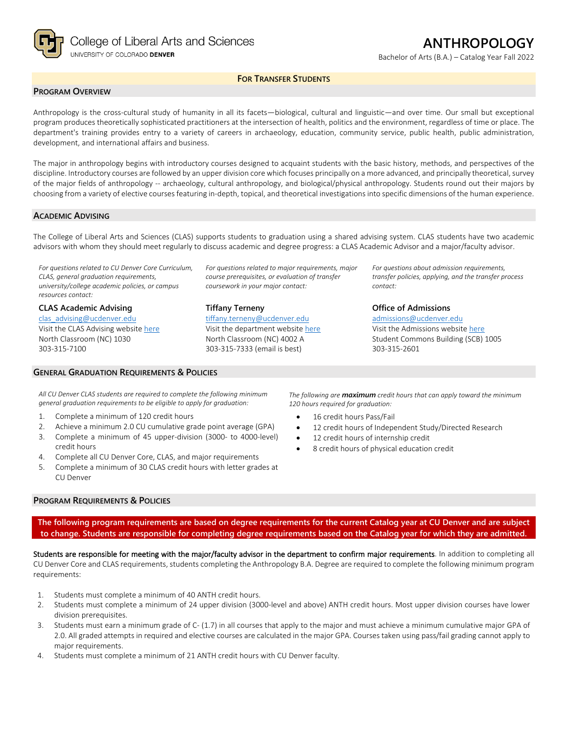

Bachelor of Arts (B.A.) – Catalog Year Fall 2022

## **FOR TRANSFER STUDENTS**

## **PROGRAM OVERVIEW**

Anthropology is the cross-cultural study of humanity in all its facets—biological, cultural and linguistic—and over time. Our small but exceptional program produces theoretically sophisticated practitioners at the intersection of health, politics and the environment, regardless of time or place. The department's training provides entry to a variety of careers in archaeology, education, community service, public health, public administration, development, and international affairs and business.

The major in anthropology begins with introductory courses designed to acquaint students with the basic history, methods, and perspectives of the discipline. Introductory courses are followed by an upper division core which focuses principally on a more advanced, and principally theoretical, survey of the major fields of anthropology -- archaeology, cultural anthropology, and biological/physical anthropology. Students round out their majors by choosing from a variety of elective courses featuring in-depth, topical, and theoretical investigations into specific dimensions of the human experience.

#### **ACADEMIC ADVISING**

The College of Liberal Arts and Sciences (CLAS) supports students to graduation using a shared advising system. CLAS students have two academic advisors with whom they should meet regularly to discuss academic and degree progress: a CLAS Academic Advisor and a major/faculty advisor.

*For questions related to CU Denver Core Curriculum, CLAS, general graduation requirements, university/college academic policies, or campus resources contact:*

**CLAS Academic Advising** [clas\\_advising@ucdenver.edu](mailto:clas_advising@ucdenver.edu) Visit the CLAS Advising websit[e here](https://clas.ucdenver.edu/advising/) North Classroom (NC) 1030 303-315-7100

#### **GENERAL GRADUATION REQUIREMENTS & POLICIES**

*course prerequisites, or evaluation of transfer coursework in your major contact:*

*For questions related to major requirements, major* 

**Tiffany Terneny** [tiffany.terneny@ucdenver.edu](mailto:tiffany.terneny@ucdenver.edu) Visit the department website [here](https://clas.ucdenver.edu/anthropology/)

North Classroom (NC) 4002 A 303-315-7333 (email is best)

*For questions about admission requirements, transfer policies, applying, and the transfer process contact:*

**Office of Admissions**

[admissions@ucdenver.edu](mailto:admissions@ucdenver.edu) Visit the Admissions website [here](http://www.ucdenver.edu/admissions/Pages/index.aspx) Student Commons Building (SCB) 1005 303-315-2601

*All CU Denver CLAS students are required to complete the following minimum general graduation requirements to be eligible to apply for graduation:*

- 1. Complete a minimum of 120 credit hours
- 2. Achieve a minimum 2.0 CU cumulative grade point average (GPA)
- 3. Complete a minimum of 45 upper-division (3000- to 4000-level) credit hours
- 4. Complete all CU Denver Core, CLAS, and major requirements
- 5. Complete a minimum of 30 CLAS credit hours with letter grades at CU Denver

#### **PROGRAM REQUIREMENTS & POLICIES**

*The following are maximum credit hours that can apply toward the minimum 120 hours required for graduation:*

- 16 credit hours Pass/Fail
- 12 credit hours of Independent Study/Directed Research
- 12 credit hours of internship credit
- 8 credit hours of physical education credit

**The following program requirements are based on degree requirements for the current Catalog year at CU Denver and are subject to change. Students are responsible for completing degree requirements based on the Catalog year for which they are admitted.**

Students are responsible for meeting with the major/faculty advisor in the department to confirm major requirements. In addition to completing all CU Denver Core and CLAS requirements, students completing the Anthropology B.A. Degree are required to complete the following minimum program requirements:

- 1. Students must complete a minimum of 40 ANTH credit hours.
- 2. Students must complete a minimum of 24 upper division (3000-level and above) ANTH credit hours. Most upper division courses have lower division prerequisites.
- 3. Students must earn a minimum grade of C- (1.7) in all courses that apply to the major and must achieve a minimum cumulative major GPA of 2.0. All graded attempts in required and elective courses are calculated in the major GPA. Courses taken using pass/fail grading cannot apply to major requirements.
- 4. Students must complete a minimum of 21 ANTH credit hours with CU Denver faculty.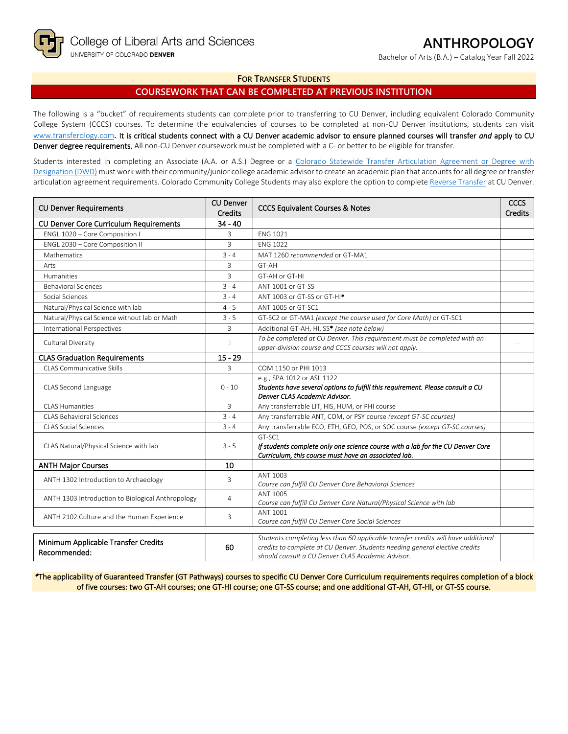Bachelor of Arts (B.A.) – Catalog Year Fall 2022

## **FOR TRANSFER STUDENTS**

## **COURSEWORK THAT CAN BE COMPLETED AT PREVIOUS INSTITUTION**

The following is a "bucket" of requirements students can complete prior to transferring to CU Denver, including equivalent Colorado Community College System (CCCS) courses. To determine the equivalencies of courses to be completed at non-CU Denver institutions, students can visit [www.transferology.com](http://www.transferology.com/)**.** It is critical students connect with a CU Denver academic advisor to ensure planned courses will transfer *and* apply to CU Denver degree requirements. All non-CU Denver coursework must be completed with a C- or better to be eligible for transfer.

Students interested in completing an Associate (A.A. or A.S.) Degree or a Colorado Statewide Transfer Articulation Agreement or Degree with [Designation \(DWD\)](https://highered.colorado.gov/transfer-degrees) must work with their community/junior college academic advisor to create an academic plan that accounts for all degree or transfer articulation agreement requirements. Colorado Community College Students may also explore the option to complet[e Reverse Transfer](https://highered.colorado.gov/students/attending-college/colorado-reverse-transfer) at CU Denver.

| <b>CU Denver Requirements</b>                       | <b>CU Denver</b><br><b>Credits</b> | <b>CCCS Equivalent Courses &amp; Notes</b>                                                                                                                                                                            |  |
|-----------------------------------------------------|------------------------------------|-----------------------------------------------------------------------------------------------------------------------------------------------------------------------------------------------------------------------|--|
| <b>CU Denver Core Curriculum Requirements</b>       | $34 - 40$                          |                                                                                                                                                                                                                       |  |
| ENGL 1020 - Core Composition I                      | 3                                  | <b>ENG 1021</b>                                                                                                                                                                                                       |  |
| ENGL 2030 - Core Composition II                     | 3                                  | <b>ENG 1022</b>                                                                                                                                                                                                       |  |
| Mathematics                                         | $3 - 4$                            | MAT 1260 recommended or GT-MA1                                                                                                                                                                                        |  |
| Arts                                                | 3                                  | GT-AH                                                                                                                                                                                                                 |  |
| Humanities                                          | 3                                  | GT-AH or GT-HI                                                                                                                                                                                                        |  |
| <b>Behavioral Sciences</b>                          | $3 - 4$                            | ANT 1001 or GT-SS                                                                                                                                                                                                     |  |
| Social Sciences                                     | $3 - 4$                            | ANT 1003 or GT-SS or GT-HI <sup>*</sup>                                                                                                                                                                               |  |
| Natural/Physical Science with lab                   | $4 - 5$                            | ANT 1005 or GT-SC1                                                                                                                                                                                                    |  |
| Natural/Physical Science without lab or Math        | $3 - 5$                            | GT-SC2 or GT-MA1 (except the course used for Core Math) or GT-SC1                                                                                                                                                     |  |
| <b>International Perspectives</b>                   | 3                                  | Additional GT-AH, HI, SS* (see note below)                                                                                                                                                                            |  |
| Cultural Diversity                                  | 3                                  | To be completed at CU Denver. This requirement must be completed with an<br>upper-division course and CCCS courses will not apply.                                                                                    |  |
| <b>CLAS Graduation Requirements</b>                 | $15 - 29$                          |                                                                                                                                                                                                                       |  |
| CLAS Communicative Skills                           | 3                                  | COM 1150 or PHI 1013                                                                                                                                                                                                  |  |
| CLAS Second Language                                | $0 - 10$                           | e.g., SPA 1012 or ASL 1122<br>Students have several options to fulfill this requirement. Please consult a CU<br>Denver CLAS Academic Advisor.                                                                         |  |
| <b>CLAS Humanities</b>                              | 3                                  | Any transferrable LIT, HIS, HUM, or PHI course                                                                                                                                                                        |  |
| <b>CLAS Behavioral Sciences</b>                     | $3 - 4$                            | Any transferrable ANT, COM, or PSY course (except GT-SC courses)                                                                                                                                                      |  |
| <b>CLAS Social Sciences</b>                         | $3 - 4$                            | Any transferrable ECO, ETH, GEO, POS, or SOC course (except GT-SC courses)                                                                                                                                            |  |
| CLAS Natural/Physical Science with lab              | $3 - 5$                            | GT-SC1<br>If students complete only one science course with a lab for the CU Denver Core<br>Curriculum, this course must have an associated lab.                                                                      |  |
| <b>ANTH Major Courses</b>                           | 10                                 |                                                                                                                                                                                                                       |  |
| ANTH 1302 Introduction to Archaeology               | 3                                  | ANT 1003<br>Course can fulfill CU Denver Core Behavioral Sciences                                                                                                                                                     |  |
| ANTH 1303 Introduction to Biological Anthropology   | 4                                  | ANT 1005<br>Course can fulfill CU Denver Core Natural/Physical Science with lab                                                                                                                                       |  |
| ANTH 2102 Culture and the Human Experience          | 3                                  | ANT 1001<br>Course can fulfill CU Denver Core Social Sciences                                                                                                                                                         |  |
| Minimum Applicable Transfer Credits<br>Recommended: | 60                                 | Students completing less than 60 applicable transfer credits will have additional<br>credits to complete at CU Denver. Students needing general elective credits<br>should consult a CU Denver CLAS Academic Advisor. |  |

*\**The applicability of Guaranteed Transfer (GT Pathways) courses to specific CU Denver Core Curriculum requirements requires completion of a block of five courses: two GT-AH courses; one GT-HI course; one GT-SS course; and one additional GT-AH, GT-HI, or GT-SS course.